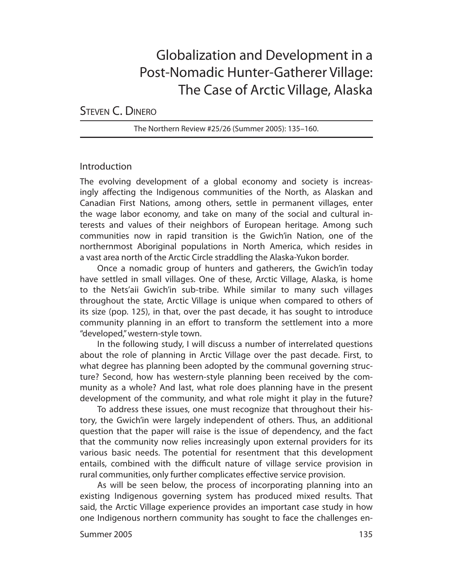# Globalization and Development in a Post-Nomadic Hunter-Gatherer Village: The Case of Arctic Village, Alaska

STEVEN C. DINERO

The Northern Review #25/26 (Summer 2005): 135–160.

# Introduction

The evolving development of a global economy and society is increasingly affecting the Indigenous communities of the North, as Alaskan and Canadian First Nations, among others, settle in permanent villages, enter the wage labor economy, and take on many of the social and cultural interests and values of their neighbors of European heritage. Among such communities now in rapid transition is the Gwich'in Nation, one of the northernmost Aboriginal populations in North America, which resides in a vast area north of the Arctic Circle straddling the Alaska-Yukon border.

Once a nomadic group of hunters and gatherers, the Gwich'in today have settled in small villages. One of these, Arctic Village, Alaska, is home to the Nets'aii Gwich'in sub-tribe. While similar to many such villages throughout the state, Arctic Village is unique when compared to others of its size (pop. 125), in that, over the past decade, it has sought to introduce community planning in an effort to transform the settlement into a more "developed," western-style town.

In the following study, I will discuss a number of interrelated questions about the role of planning in Arctic Village over the past decade. First, to what degree has planning been adopted by the communal governing structure? Second, how has western-style planning been received by the community as a whole? And last, what role does planning have in the present development of the community, and what role might it play in the future?

To address these issues, one must recognize that throughout their history, the Gwich'in were largely independent of others. Thus, an additional question that the paper will raise is the issue of dependency, and the fact that the community now relies increasingly upon external providers for its various basic needs. The potential for resentment that this development entails, combined with the difficult nature of village service provision in rural communities, only further complicates effective service provision.

As will be seen below, the process of incorporating planning into an existing Indigenous governing system has produced mixed results. That said, the Arctic Village experience provides an important case study in how one Indigenous northern community has sought to face the challenges en-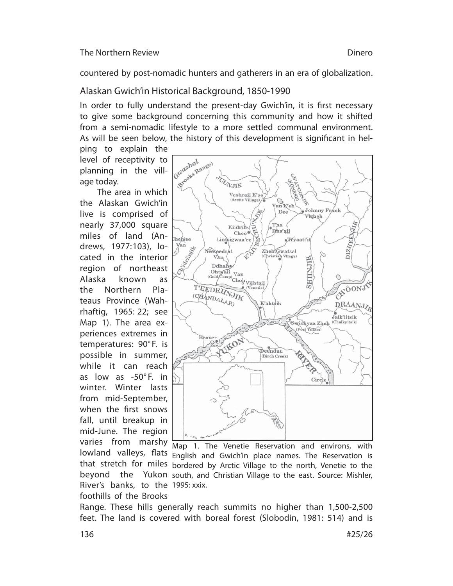countered by post-nomadic hunters and gatherers in an era of globalization.

# Alaskan Gwich'in Historical Background, 1850-1990

In order to fully understand the present-day Gwich'in, it is first necessary to give some background concerning this community and how it shifted from a semi-nomadic lifestyle to a more settled communal environment. As will be seen below, the history of this development is significant in hel-

ping to explain the level of receptivity to planning in the village today.

The area in which the Alaskan Gwich'in live is comprised of nearly 37,000 square miles of land (Andrews, 1977: 103), located in the interior region of northeast Alaska known as the Northern Plateaus Province (Wahrhaftig, 1965: 22; see Map 1). The area experiences extremes in tem peratures: 90° F. is possible in summer, while it can reach as low as -50° F. in winter. Winter lasts from mid-September, when the first snows fall, until breakup in mid-June. The region River's banks, to the 1995: xxix.



varies from marshy Map 1. The Venetie Reservation and environs, with lowland valleys, flats English and Gwich'in place names. The Reservation is that stretch for miles bordered by Arctic Village to the north, Venetie to the beyond the Yukon south, and Christian Village to the east. Source: Mishler,

foothills of the Brooks Range. These hills generally reach summits no higher than 1,500-2,500 feet. The land is covered with boreal forest (Slobodin, 1981: 514) and is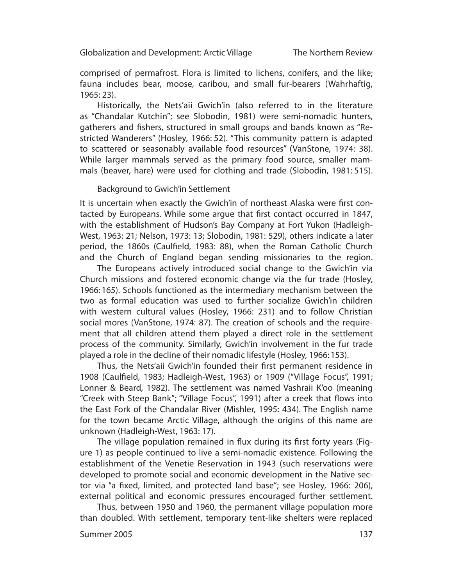The Northern Review

comprised of permafrost. Flora is limited to lichens, conifers, and the like; fauna includes bear, moose, caribou, and small fur-bearers (Wahrhaftig, 1965: 23).

Historically, the Nets'aii Gwich'in (also referred to in the literature as "Chandalar Kutchin"; see Slobodin, 1981) were semi-nomadic hunters, gatherers and fishers, structured in small groups and bands known as "Restricted Wanderers" (Hosley, 1966: 52). "This community pattern is adapted to scattered or seasonably available food resources" (VanStone, 1974: 38). While larger mammals served as the primary food source, smaller mammals (beaver, hare) were used for clothing and trade (Slobodin, 1981: 515).

### Background to Gwich'in Settlement

It is uncertain when exactly the Gwich'in of northeast Alaska were first contacted by Europeans. While some argue that first contact occurred in 1847, with the establishment of Hudson's Bay Company at Fort Yukon (Hadleigh-West, 1963: 21; Nelson, 1973: 13; Slobodin, 1981: 529), others indicate a later period, the 1860s (Caulfield, 1983: 88), when the Roman Catholic Church and the Church of England began sending missionaries to the region.

The Europeans actively introduced social change to the Gwich'in via Church missions and fostered economic change via the fur trade (Hosley, 1966: 165). Schools functioned as the intermediary mechanism between the two as formal education was used to further socialize Gwich'in children with western cultural values (Hosley, 1966: 231) and to follow Christian social mores (VanStone, 1974: 87). The creation of schools and the requirement that all children attend them played a direct role in the settlement process of the community. Similarly, Gwich'in involvement in the fur trade played a role in the decline of their nomadic lifestyle (Hosley, 1966: 153).

Thus, the Nets'aii Gwich'in founded their first permanent residence in 1908 (Caulfield, 1983; Hadleigh-West, 1963) or 1909 ("Village Focus", 1991; Lonner & Beard, 1982). The settlement was named Vashraii K'oo (meaning "Creek with Steep Bank"; "Village Focus", 1991) after a creek that flows into the East Fork of the Chandalar River (Mishler, 1995: 434). The English name for the town became Arctic Village, although the origins of this name are unknown (Hadleigh-West, 1963: 17).

The village population remained in flux during its first forty years (Figure 1) as people continued to live a semi-nomadic existence. Following the establishment of the Venetie Reservation in 1943 (such reservations were developed to promote social and economic development in the Native sector via "a fixed, limited, and protected land base"; see Hosley, 1966: 206), external political and economic pressures encouraged further settlement.

Thus, between 1950 and 1960, the permanent village population more than doubled. With settlement, temporary tent-like shelters were replaced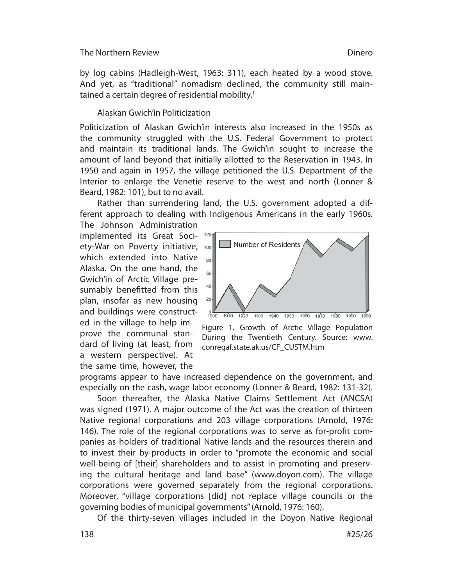by log cabins (Hadleigh-West, 1963: 311), each heated by a wood stove. And yet, as "traditional" nomadism declined, the community still maintained a certain degree of residential mobility.<sup>1</sup>

### Alaskan Gwich'in Politicization

Politicization of Alaskan Gwich'in interests also increased in the 1950s as the community struggled with the U.S. Federal Government to protect and maintain its traditional lands. The Gwich'in sought to increase the amount of land beyond that initially allotted to the Reservation in 1943. In 1950 and again in 1957, the village petitioned the U.S. Department of the Interior to enlarge the Venetie reserve to the west and north (Lonner & Beard, 1982: 101), but to no avail.

Rather than surrendering land, the U.S. government adopted a different approach to dealing with Indigenous Americans in the early 1960s.

The Johnson Administration implemented its Great Soci-<sup>120</sup> ety-War on Poverty initiative, 100 which extended into Native Alaska. On the one hand, the Gwich'in of Arctic Village presumably benefitted from this plan, insofar as new housing and buildings were constructed in the village to help improve the communal standard of living (at least, from a western perspective). At the same time, however, the



Figure 1. Growth of Arctic Village Population During the Twentieth Century. Source: www. conregaf.state.ak.us/CF\_CUSTM.htm

programs appear to have increased dependence on the government, and especially on the cash, wage labor economy (Lonner & Beard, 1982: 131-32).

Soon thereafter, the Alaska Native Claims Settlement Act (ANCSA) was signed (1971). A major outcome of the Act was the creation of thirteen Native regional corporations and 203 village corporations (Arnold, 1976: 146). The role of the regional corporations was to serve as for-profit companies as holders of traditional Native lands and the resources therein and to invest their by-products in order to "promote the economic and social well-being of [their] shareholders and to assist in promoting and preserving the cultural heritage and land base" (www.doyon.com). The village corporations were governed separately from the regional corporations. Moreover, "village corporations [did] not replace village councils or the governing bodies of municipal governments" (Arnold, 1976: 160).

Of the thirty-seven villages included in the Doyon Native Regional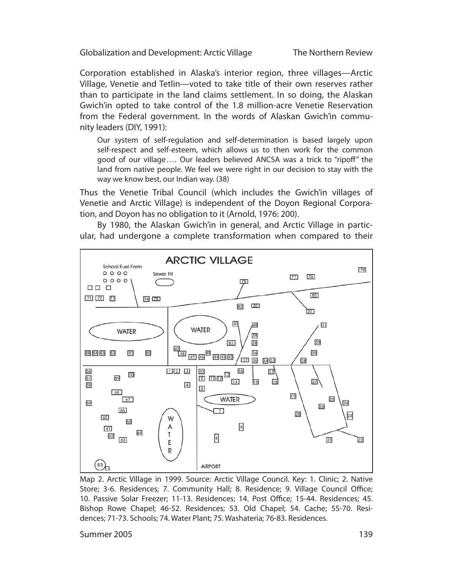The Northern Review

Corporation established in Alaska's interior region, three villages—Arctic Village, Venetie and Tetlin—voted to take title of their own reserves rather than to participate in the land claims settlement. In so doing, the Alaskan Gwich'in opted to take control of the 1.8 million-acre Venetie Reservation from the Federal government. In the words of Alaskan Gwich'in community leaders (DIY, 1991):

Our system of self-regulation and self-determination is based largely upon self-respect and self-esteem, which allows us to then work for the common good of our village .... Our leaders believed ANCSA was a trick to "ripoff" the land from native people. We feel we were right in our decision to stay with the way we know best, our Indian way. (38)

Thus the Venetie Tribal Council (which includes the Gwich'in villages of Venetie and Arctic Village) is independent of the Doyon Regional Corporation, and Doyon has no obligation to it (Arnold, 1976: 200).

By 1980, the Alaskan Gwich'in in general, and Arctic Village in particular, had undergone a complete transformation when compared to their



Map 2. Arctic Village in 1999. Source: Arctic Village Council. Key: 1. Clinic; 2. Native Store; 3-6. Residences; 7. Community Hall; 8. Residence; 9. Village Council Office; 10. Passive Solar Freezer; 11-13. Residences; 14. Post Office; 15-44. Residences; 45. Bishop Rowe Chapel; 46-52. Residences; 53. Old Chapel; 54. Cache; 55-70. Residences; 71-73. Schools; 74. Water Plant; 75. Washateria; 76-83. Residences.

Summer 2005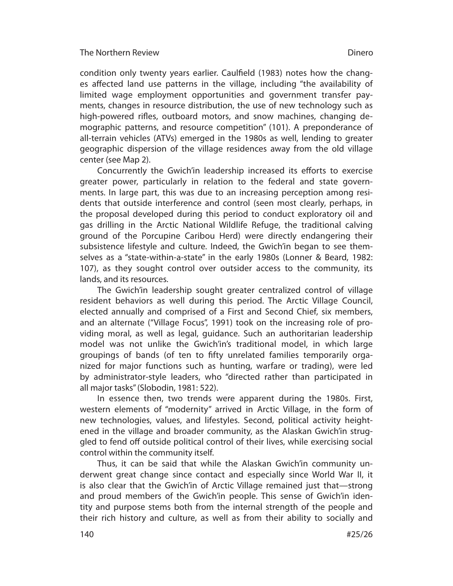condition only twenty years earlier. Caulfield (1983) notes how the changes affected land use patterns in the village, including "the availability of limited wage employment opportunities and government transfer payments, changes in resource distribution, the use of new technology such as high-powered rifles, outboard motors, and snow machines, changing demographic patterns, and resource competition" (101). A preponderance of all-terrain vehicles (ATVs) emerged in the 1980s as well, lending to greater geographic dispersion of the village residences away from the old village center (see Map 2).

Concurrently the Gwich'in leadership increased its efforts to exercise greater power, particularly in relation to the federal and state governments. In large part, this was due to an increasing perception among residents that outside interference and control (seen most clearly, perhaps, in the proposal developed during this period to conduct exploratory oil and gas drilling in the Arctic National Wildlife Refuge, the traditional calving ground of the Porcupine Caribou Herd) were directly endangering their subsistence lifestyle and culture. Indeed, the Gwich'in began to see themselves as a "state-within-a-state" in the early 1980s (Lonner & Beard, 1982: 107), as they sought control over outsider access to the community, its lands, and its resources.

The Gwich'in leadership sought greater centralized control of village resident behaviors as well during this period. The Arctic Village Council, elected annually and comprised of a First and Second Chief, six members, and an alternate ("Village Focus", 1991) took on the increasing role of providing moral, as well as legal, guidance. Such an authoritarian leadership model was not unlike the Gwich'in's traditional model, in which large groupings of bands (of ten to fifty unrelated families temporarily organized for major functions such as hunting, warfare or trading), were led by administrator-style leaders, who "directed rather than participated in all major tasks" (Slobodin, 1981: 522).

In essence then, two trends were apparent during the 1980s. First, western elements of "modernity" arrived in Arctic Village, in the form of new technologies, values, and lifestyles. Second, political activity heightened in the village and broader community, as the Alaskan Gwich'in struggled to fend off outside political control of their lives, while exercising social control within the community itself.

Thus, it can be said that while the Alaskan Gwich'in community underwent great change since contact and especially since World War II, it is also clear that the Gwich'in of Arctic Village remained just that—strong and proud members of the Gwich'in people. This sense of Gwich'in identity and purpose stems both from the internal strength of the people and their rich history and culture, as well as from their ability to socially and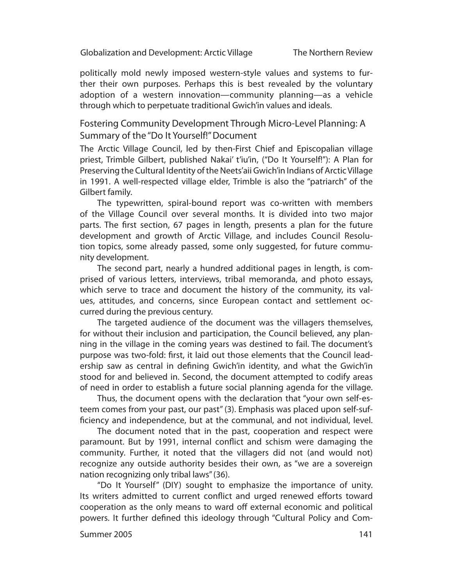politically mold newly imposed western-style values and systems to further their own purposes. Perhaps this is best revealed by the voluntary adoption of a western innovation—community planning—as a vehicle through which to perpetuate traditional Gwich'in values and ideals.

Fostering Community Development Through Micro-Level Planning: A Summary of the "Do It Yourself!" Document

The Arctic Village Council, led by then-First Chief and Episcopalian village priest, Trimble Gilbert, published Nakai' t'iu'in, ("Do It Yourself!"): A Plan for Preserving the Cultural Identity of the Neets'aii Gwich'in Indians of Arctic Village in 1991. A well-respected village elder, Trimble is also the "patriarch" of the Gilbert family.

The typewritten, spiral-bound report was co-written with members of the Village Council over several months. It is divided into two major parts. The first section, 67 pages in length, presents a plan for the future development and growth of Arctic Village, and includes Council Resolution topics, some already passed, some only suggested, for future community development.

The second part, nearly a hundred additional pages in length, is comprised of various letters, interviews, tribal memoranda, and photo essays, which serve to trace and document the history of the community, its values, attitudes, and concerns, since European contact and settlement occurred during the previous century.

The targeted audience of the document was the villagers themselves, for without their inclusion and participation, the Council believed, any planning in the village in the coming years was destined to fail. The document's purpose was two-fold: first, it laid out those elements that the Council leadership saw as central in defining Gwich'in identity, and what the Gwich'in stood for and believed in. Second, the document attempted to codify areas of need in order to establish a future social planning agenda for the village.

Thus, the document opens with the declaration that "your own self-esteem comes from your past, our past" (3). Emphasis was placed upon self-sufficiency and independence, but at the communal, and not individual, level.

The document noted that in the past, cooperation and respect were paramount. But by 1991, internal conflict and schism were damaging the community. Further, it noted that the villagers did not (and would not) recognize any outside authority besides their own, as "we are a sovereign nation recognizing only tribal laws" (36).

"Do It Yourself" (DIY) sought to emphasize the importance of unity. Its writers admitted to current conflict and urged renewed efforts toward cooperation as the only means to ward off external economic and political powers. It further defined this ideology through "Cultural Policy and Com-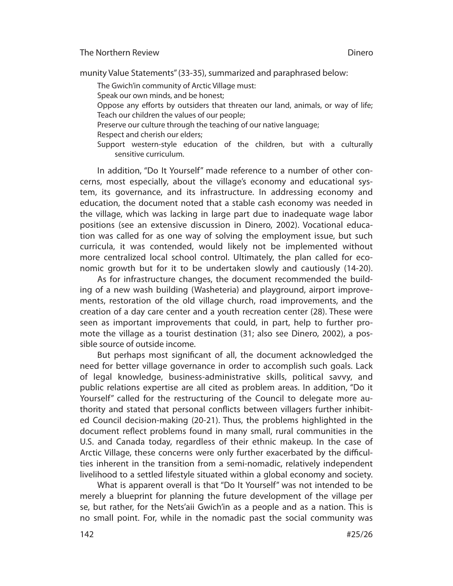#### Dinero

munity Value Statements" (33-35), summarized and paraphrased below:

The Gwich'in community of Arctic Village must:

Speak our own minds, and be honest;

Oppose any efforts by outsiders that threaten our land, animals, or way of life; Teach our children the values of our people;

Preserve our culture through the teaching of our native language;

Respect and cherish our elders;

Support western-style education of the children, but with a culturally sensitive curriculum.

In addition, "Do It Yourself" made reference to a number of other concerns, most especially, about the village's economy and educational system, its governance, and its infrastructure. In addressing economy and education, the document noted that a stable cash economy was needed in the village, which was lacking in large part due to inadequate wage labor positions (see an extensive discussion in Dinero, 2002). Vocational education was called for as one way of solving the employment issue, but such curricula, it was contended, would likely not be implemented without more centralized local school control. Ultimately, the plan called for economic growth but for it to be undertaken slowly and cautiously (14-20).

As for infrastructure changes, the document recommended the building of a new wash building (Washeteria) and playground, airport improvements, restoration of the old village church, road improvements, and the creation of a day care center and a youth recreation center (28). These were seen as important improvements that could, in part, help to further promote the village as a tourist destination (31; also see Dinero, 2002), a possible source of outside income.

But perhaps most significant of all, the document acknowledged the need for better village governance in order to accomplish such goals. Lack of legal knowledge, business-administrative skills, political savvy, and public relations expertise are all cited as problem areas. In addition, "Do it Yourself" called for the restructuring of the Council to delegate more authority and stated that personal conflicts between villagers further inhibited Council decision-making (20-21). Thus, the problems highlighted in the document reflect problems found in many small, rural communities in the U.S. and Canada today, regardless of their ethnic makeup. In the case of Arctic Village, these concerns were only further exacerbated by the difficulties inherent in the transition from a semi-nomadic, relatively independent livelihood to a settled lifestyle situated within a global economy and society.

What is apparent overall is that "Do It Yourself" was not intended to be merely a blueprint for planning the future development of the village per se, but rather, for the Nets'aii Gwich'in as a people and as a nation. This is no small point. For, while in the nomadic past the social community was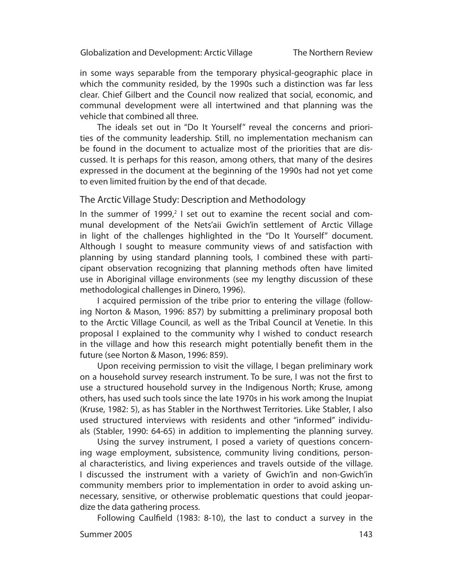in some ways separable from the temporary physical-geographic place in which the community resided, by the 1990s such a distinction was far less clear. Chief Gilbert and the Council now realized that social, economic, and communal development were all intertwined and that planning was the vehicle that combined all three.

The ideals set out in "Do It Yourself" reveal the concerns and priorities of the community leadership. Still, no implementation mechanism can be found in the document to actualize most of the priorities that are discussed. It is perhaps for this reason, among others, that many of the desires expressed in the document at the beginning of the 1990s had not yet come to even limited fruition by the end of that decade.

### The Arctic Village Study: Description and Methodology

In the summer of 1999, $2$  I set out to examine the recent social and communal development of the Nets'aii Gwich'in settlement of Arctic Village in light of the challenges highlighted in the "Do It Yourself" document. Although I sought to measure community views of and satisfaction with planning by using standard planning tools, I combined these with participant observation recognizing that planning methods often have limited use in Aboriginal village environments (see my lengthy discussion of these methodological challenges in Dinero, 1996).

I acquired permission of the tribe prior to entering the village (following Norton & Mason, 1996: 857) by submitting a preliminary proposal both to the Arctic Village Council, as well as the Tribal Council at Venetie. In this proposal I explained to the community why I wished to conduct research in the village and how this research might potentially benefit them in the future (see Norton & Mason, 1996: 859).

Upon receiving permission to visit the village, I began preliminary work on a household survey research instrument. To be sure, I was not the first to use a structured household survey in the Indigenous North; Kruse, among others, has used such tools since the late 1970s in his work among the Inupiat (Kruse, 1982: 5), as has Stabler in the Northwest Territories. Like Stabler, I also used structured interviews with residents and other "informed" individuals (Stabler, 1990: 64-65) in addition to implementing the planning survey.

Using the survey instrument, I posed a variety of questions concerning wage employment, subsistence, community living conditions, personal characteristics, and living experiences and travels outside of the village. I discussed the instrument with a variety of Gwich'in and non-Gwich'in community members prior to implementation in order to avoid asking unnecessary, sensitive, or otherwise problematic questions that could jeopardize the data gathering process.

143 Summer 2005 Following Caulfield (1983: 8-10), the last to conduct a survey in the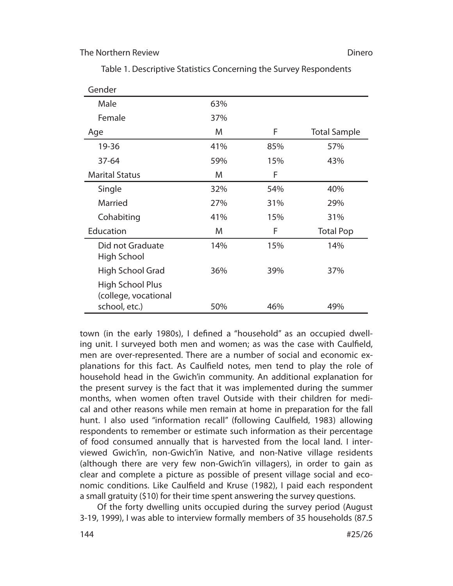#### Dinero

| Gender                                                           |     |     |                     |
|------------------------------------------------------------------|-----|-----|---------------------|
| Male                                                             | 63% |     |                     |
| Female                                                           | 37% |     |                     |
| Age                                                              | M   | F   | <b>Total Sample</b> |
| 19-36                                                            | 41% | 85% | 57%                 |
| 37-64                                                            | 59% | 15% | 43%                 |
| <b>Marital Status</b>                                            | M   | F   |                     |
| Single                                                           | 32% | 54% | 40%                 |
| Married                                                          | 27% | 31% | 29%                 |
| Cohabiting                                                       | 41% | 15% | 31%                 |
| Education                                                        | M   | F   | <b>Total Pop</b>    |
| Did not Graduate<br>High School                                  | 14% | 15% | 14%                 |
| High School Grad                                                 | 36% | 39% | 37%                 |
| <b>High School Plus</b><br>(college, vocational<br>school, etc.) | 50% | 46% | 49%                 |

Table 1. Descriptive Statistics Concerning the Survey Respondents

town (in the early 1980s), I defined a "household" as an occupied dwelling unit. I surveyed both men and women; as was the case with Caulfield, men are over-represented. There are a number of social and economic explanations for this fact. As Caulfield notes, men tend to play the role of household head in the Gwich'in community. An additional explanation for the present survey is the fact that it was implemented during the summer months, when women often travel Outside with their children for medical and other reasons while men remain at home in preparation for the fall hunt. I also used "information recall" (following Caulfield, 1983) allowing respondents to remember or estimate such information as their percentage of food consumed annually that is harvested from the local land. I interviewed Gwich'in, non-Gwich'in Native, and non-Native village residents (although there are very few non-Gwich'in villagers), in order to gain as clear and complete a picture as possible of present village social and economic conditions. Like Caulfield and Kruse (1982), I paid each respondent a small gratuity (\$10) for their time spent answering the survey questions.

Of the forty dwelling units occupied during the survey period (August 3-19, 1999), I was able to interview formally members of 35 households (87.5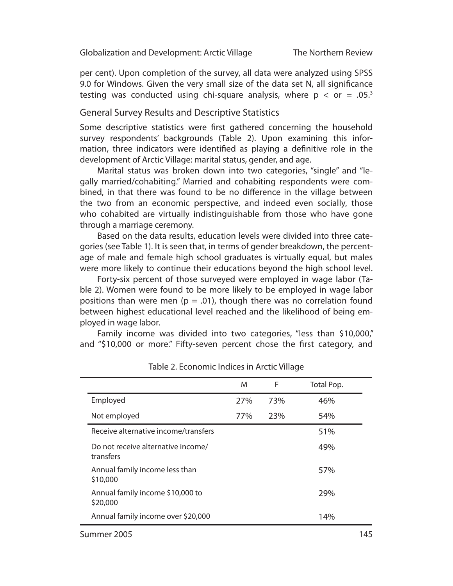per cent). Upon completion of the survey, all data were analyzed using SPSS 9.0 for Windows. Given the very small size of the data set N, all significance testing was conducted using chi-square analysis, where  $p < or = .05$ <sup>3</sup>

# General Survey Results and Descriptive Statistics

Some descriptive statistics were first gathered concerning the household survey respondents' backgrounds (Table 2). Upon examining this information, three indicators were identified as playing a definitive role in the development of Arctic Village: marital status, gender, and age.

Marital status was broken down into two categories, "single" and "legally married/cohabiting." Married and cohabiting respondents were combined, in that there was found to be no difference in the village between the two from an economic perspective, and indeed even socially, those who cohabited are virtually indistinguishable from those who have gone through a marriage ceremony.

Based on the data results, education levels were divided into three categories (see Table 1). It is seen that, in terms of gender breakdown, the percentage of male and female high school graduates is virtually equal, but males were more likely to continue their educations beyond the high school level.

Forty-six percent of those surveyed were employed in wage labor (Table 2). Women were found to be more likely to be employed in wage labor positions than were men ( $p = .01$ ), though there was no correlation found between highest educational level reached and the likelihood of being employed in wage labor.

Family income was divided into two categories, "less than \$10,000," and "\$10,000 or more." Fifty-seven percent chose the first category, and

|                                                 | M   | F   | Total Pop. |
|-------------------------------------------------|-----|-----|------------|
| Employed                                        | 27% | 73% | 46%        |
| Not employed                                    | 77% | 23% | 54%        |
| Receive alternative income/transfers            |     |     | 51%        |
| Do not receive alternative income/<br>transfers |     |     | 49%        |
| Annual family income less than<br>\$10,000      |     |     | 57%        |
| Annual family income \$10,000 to<br>\$20,000    |     |     | 29%        |
| Annual family income over \$20,000              |     |     | 14%        |

Table 2. Economic Indices in Arctic Village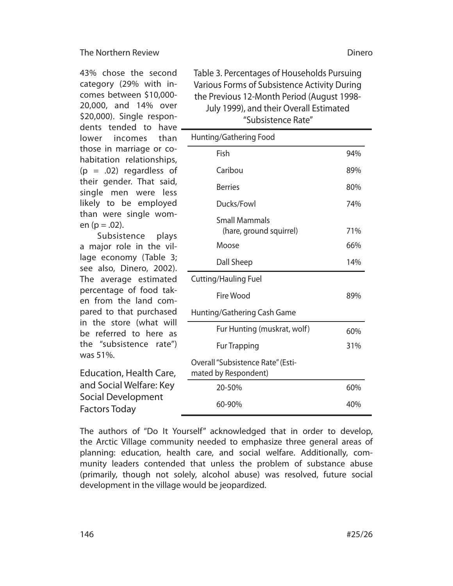43% chose the second category (29% with incomes between \$10,000- 20,000, and 14% over \$20,000). Single respondents tended to have lower incomes than those in marriage or cohabitation relationships,  $(p = .02)$  regardless of their gender. That said, single men were less likely to be employed than were single women ( $p = .02$ ).

Subsistence plays a major role in the village economy (Table 3; see also, Dinero, 2002). The average estimated percentage of food taken from the land compared to that purchased in the store (what will be referred to here as the "subsistence rate") was 51%.

Education, Health Care, and Social Welfare: Key Social Development Factors Today

Table 3. Percentages of Households Pursuing Various Forms of Subsistence Activity During the Previous 12-Month Period (August 1998- July 1999), and their Overall Estimated "Subsistence Rate"

| Hunting/Gathering Food                                    |     |
|-----------------------------------------------------------|-----|
| Fish                                                      | 94% |
| Caribou                                                   | 89% |
| <b>Berries</b>                                            | 80% |
| Ducks/Fowl                                                | 74% |
| <b>Small Mammals</b><br>(hare, ground squirrel)           | 71% |
| Moose                                                     | 66% |
| Dall Sheep                                                | 14% |
| <b>Cutting/Hauling Fuel</b>                               |     |
| Fire Wood                                                 | 89% |
| Hunting/Gathering Cash Game                               |     |
| Fur Hunting (muskrat, wolf)                               | 60% |
| <b>Fur Trapping</b>                                       | 31% |
| Overall "Subsistence Rate" (Esti-<br>mated by Respondent) |     |
| 20-50%                                                    | 60% |
| 60-90%                                                    | 40% |

The authors of "Do It Yourself" acknowledged that in order to develop, the Arctic Village community needed to emphasize three general areas of planning: education, health care, and social welfare. Additionally, community leaders contended that unless the problem of substance abuse (primarily, though not solely, alcohol abuse) was resolved, future social development in the village would be jeopardized.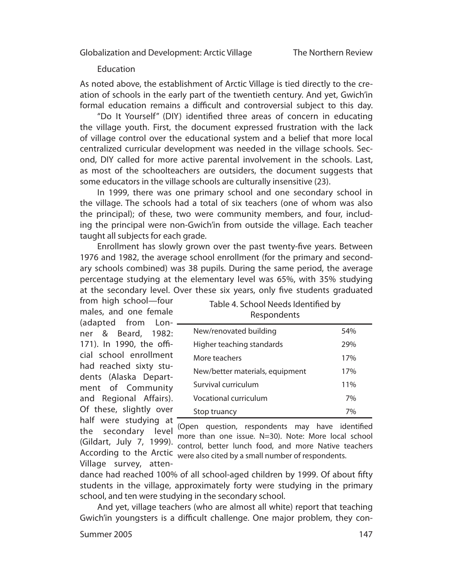### Education

As noted above, the establishment of Arctic Village is tied directly to the creation of schools in the early part of the twentieth century. And yet, Gwich'in formal education remains a difficult and controversial subject to this day.

"Do It Yourself" (DIY) identified three areas of concern in educating the village youth. First, the document expressed frustration with the lack of village control over the educational system and a belief that more local centralized curricular development was needed in the village schools. Second, DIY called for more active parental involvement in the schools. Last, as most of the schoolteachers are outsiders, the document suggests that some educators in the village schools are culturally insensitive (23).

In 1999, there was one primary school and one secondary school in the village. The schools had a total of six teachers (one of whom was also the principal); of these, two were community members, and four, including the principal were non-Gwich'in from outside the village. Each teacher taught all subjects for each grade.

Enrollment has slowly grown over the past twenty-five years. Between 1976 and 1982, the average school enrollment (for the primary and secondary schools combined) was 38 pupils. During the same period, the average percentage studying at the elementary level was 65%, with 35% studying at the secondary level. Over these six years, only five students graduated

from high school—four males, and one female (adapted from Lonner & Beard, 1982: 171). In 1990, the official school enrollment had reached sixty students (Alaska Department of Community and Regional Affairs). Of these, slightly over half were studying at Village survey, atten-

Table 4. School Needs Identified by **Respondents** 

| New/renovated building          | 54% |
|---------------------------------|-----|
| Higher teaching standards       | 29% |
| More teachers                   | 17% |
| New/better materials, equipment | 17% |
| Survival curriculum             | 11% |
| <b>Vocational curriculum</b>    | 7%  |
| Stop truancy                    | 7%  |

the secondary level (Open question, respondents may have identified<br>the secondary level may than and issue N 20) Note Mayo legal school (Gildart, July 7, 1999). more than one issue. N=30). Note: More local school According to the Arctic were also cited by a small number of respondents. control, better lunch food, and more Native teachers

dance had reached 100% of all school-aged children by 1999. Of about fifty students in the village, approximately forty were studying in the primary school, and ten were studying in the secondary school.

And yet, village teachers (who are almost all white) report that teaching Gwich'in youngsters is a difficult challenge. One major problem, they con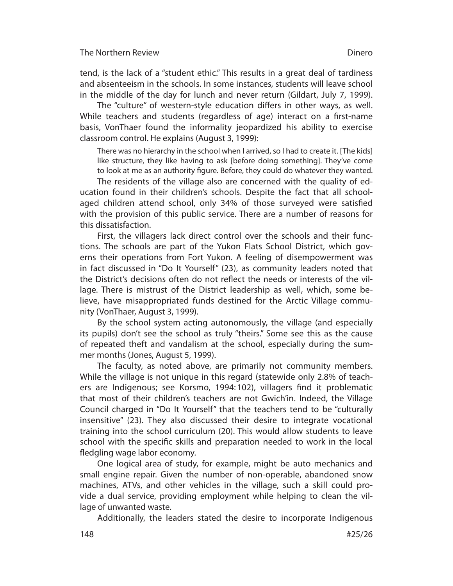tend, is the lack of a "student ethic." This results in a great deal of tardiness and absenteeism in the schools. In some instances, students will leave school in the middle of the day for lunch and never return (Gildart, July 7, 1999).

The "culture" of western-style education differs in other ways, as well. While teachers and students (regardless of age) interact on a first-name basis, VonThaer found the informality jeopardized his ability to exercise classroom control. He explains (August 3, 1999):

There was no hierarchy in the school when I arrived, so I had to create it. [The kids] like structure, they like having to ask [before doing something]. They've come to look at me as an authority figure. Before, they could do whatever they wanted.

The residents of the village also are concerned with the quality of education found in their children's schools. Despite the fact that all schoolaged children attend school, only 34% of those surveyed were satisfied with the provision of this public service. There are a number of reasons for this dissatisfaction.

First, the villagers lack direct control over the schools and their functions. The schools are part of the Yukon Flats School District, which governs their operations from Fort Yukon. A feeling of disempowerment was in fact discussed in "Do It Yourself" (23), as community leaders noted that the District's decisions often do not reflect the needs or interests of the village. There is mistrust of the District leadership as well, which, some believe, have misappropriated funds destined for the Arctic Village community (VonThaer, August 3, 1999).

By the school system acting autonomously, the village (and especially its pupils) don't see the school as truly "theirs." Some see this as the cause of repeated theft and vandalism at the school, especially during the summer months (Jones, August 5, 1999).

The faculty, as noted above, are primarily not community members. While the village is not unique in this regard (statewide only 2.8% of teachers are Indigenous; see Korsmo, 1994:102), villagers find it problematic that most of their children's teachers are not Gwich'in. Indeed, the Village Council charged in "Do It Yourself" that the teachers tend to be "culturally insensitive" (23). They also discussed their desire to integrate vocational training into the school curriculum (20). This would allow students to leave school with the specific skills and preparation needed to work in the local fledgling wage labor economy.

One logical area of study, for example, might be auto mechanics and small engine repair. Given the number of non-operable, abandoned snow machines, ATVs, and other vehicles in the village, such a skill could provide a dual service, providing employment while helping to clean the village of unwanted waste.

Additionally, the leaders stated the desire to incorporate Indigenous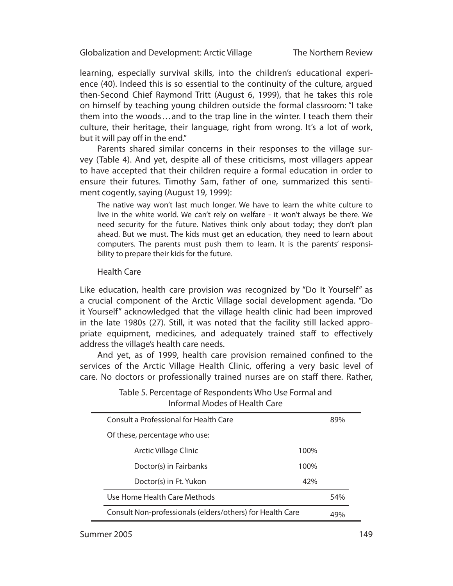The Northern Review

learning, especially survival skills, into the children's educational experience (40). Indeed this is so essential to the continuity of the culture, argued then-Second Chief Raymond Tritt (August 6, 1999), that he takes this role on himself by teaching young children outside the formal classroom: "I take them into the woods . . . and to the trap line in the winter. I teach them their culture, their heritage, their language, right from wrong. It's a lot of work, but it will pay off in the end."

Parents shared similar concerns in their responses to the village survey (Table 4). And yet, despite all of these criticisms, most villagers appear to have accepted that their children require a formal education in order to ensure their futures. Timothy Sam, father of one, summarized this sentiment cogently, saying (August 19, 1999):

The native way won't last much longer. We have to learn the white culture to live in the white world. We can't rely on welfare - it won't always be there. We need security for the future. Natives think only about today; they don't plan ahead. But we must. The kids must get an education, they need to learn about computers. The parents must push them to learn. It is the parents' responsibility to prepare their kids for the future.

### Health Care

Like education, health care provision was recognized by "Do It Yourself" as a crucial component of the Arctic Village social development agenda. "Do it Yourself" acknowledged that the village health clinic had been improved in the late 1980s (27). Still, it was noted that the facility still lacked appropriate equipment, medicines, and adequately trained staff to effectively address the village's health care needs.

And yet, as of 1999, health care provision remained confined to the services of the Arctic Village Health Clinic, offering a very basic level of care. No doctors or professionally trained nurses are on staff there. Rather,

| <b>Informal Modes of Health Care</b>                      |      |     |
|-----------------------------------------------------------|------|-----|
| Consult a Professional for Health Care                    |      | 89% |
| Of these, percentage who use:                             |      |     |
| Arctic Village Clinic                                     | 100% |     |
| Doctor(s) in Fairbanks                                    | 100% |     |
| Doctor(s) in Ft. Yukon                                    | 42%  |     |
| Use Home Health Care Methods                              |      | 54% |
| Consult Non-professionals (elders/others) for Health Care |      | 49% |

# Table 5. Percentage of Respondents Who Use Formal and Informal Modes of Health Care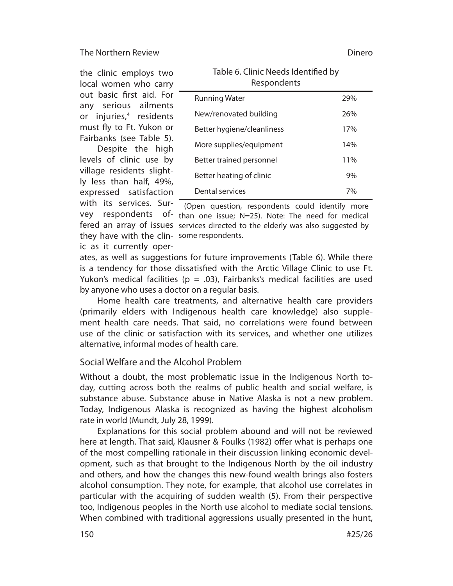the clinic employs two local women who carry out basic first aid. For any serious ailments or injuries,<sup>4</sup> residents must fly to Ft. Yukon or Fairbanks (see Table 5).

Despite the high levels of clinic use by village residents slightly less than half, 49%, expressed satisfaction with its services. Surthey have with the clin-some respondents.

| <u>rapic of Ciline receasitachtinea by</u><br>Respondents |                  |
|-----------------------------------------------------------|------------------|
| Running Water                                             | 29%              |
| New/renovated building                                    | 26%              |
| Rattar hygjana/claanlingss                                | 170 <sub>6</sub> |

Table 6. Clinic Needs Identified by

| New/renovated building     | 26% |
|----------------------------|-----|
| Better hygiene/cleanliness | 17% |
| More supplies/equipment    | 14% |
| Better trained personnel   | 11% |
| Better heating of clinic   | 9%  |
| Dental services            | 7%  |

vey respondents of than one issue; N=25). Note: The need for medical fered an array of issues services directed to the elderly was also suggested by (Open question, respondents could identify more

ic as it currently oper-

ates, as well as suggestions for future improvements (Table 6). While there is a tendency for those dissatisfied with the Arctic Village Clinic to use Ft. Yukon's medical facilities ( $p = .03$ ), Fairbanks's medical facilities are used by anyone who uses a doctor on a regular basis.

Home health care treatments, and alternative health care providers (primarily elders with Indigenous health care knowledge) also supplement health care needs. That said, no correlations were found between use of the clinic or satisfaction with its services, and whether one utilizes alternative, informal modes of health care.

# Social Welfare and the Alcohol Problem

Without a doubt, the most problematic issue in the Indigenous North today, cutting across both the realms of public health and social welfare, is substance abuse. Substance abuse in Native Alaska is not a new problem. Today, Indigenous Alaska is recognized as having the highest alcoholism rate in world (Mundt, July 28, 1999).

Explanations for this social problem abound and will not be reviewed here at length. That said, Klausner & Foulks (1982) offer what is perhaps one of the most compelling rationale in their discussion linking economic development, such as that brought to the Indigenous North by the oil industry and others, and how the changes this new-found wealth brings also fosters alcohol consumption. They note, for example, that alcohol use correlates in particular with the acquiring of sudden wealth (5). From their perspective too, Indigenous peoples in the North use alcohol to mediate social tensions. When combined with traditional aggressions usually presented in the hunt,

Dinero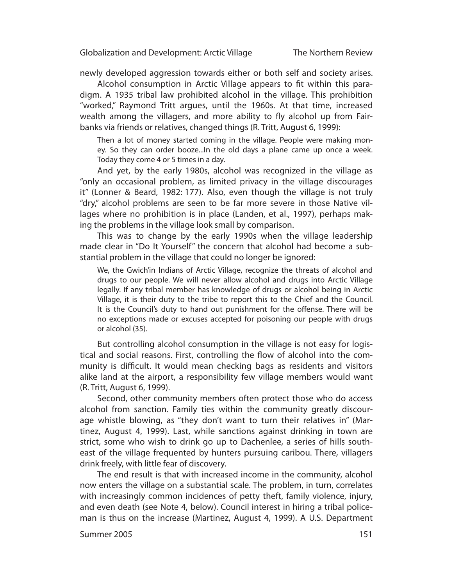The Northern Review

newly developed aggression towards either or both self and society arises.

Alcohol consumption in Arctic Village appears to fit within this paradigm. A 1935 tribal law prohibited alcohol in the village. This prohibition "worked," Raymond Tritt argues, until the 1960s. At that time, increased wealth among the villagers, and more ability to fly alcohol up from Fairbanks via friends or relatives, changed things (R. Tritt, August 6, 1999):

Then a lot of money started coming in the village. People were making money. So they can order booze...In the old days a plane came up once a week. Today they come 4 or 5 times in a day.

And yet, by the early 1980s, alcohol was recognized in the village as "only an occasional problem, as limited privacy in the village discourages it" (Lonner & Beard, 1982: 177). Also, even though the village is not truly "dry," alcohol problems are seen to be far more severe in those Native villages where no prohibition is in place (Landen, et al., 1997), perhaps making the problems in the village look small by comparison.

This was to change by the early 1990s when the village leadership made clear in "Do It Yourself" the concern that alcohol had become a substantial problem in the village that could no longer be ignored:

We, the Gwich'in Indians of Arctic Village, recognize the threats of alcohol and drugs to our people. We will never allow alcohol and drugs into Arctic Village legally. If any tribal member has knowledge of drugs or alcohol being in Arctic Village, it is their duty to the tribe to report this to the Chief and the Council. It is the Council's duty to hand out punishment for the offense. There will be no exceptions made or excuses accepted for poisoning our people with drugs or alcohol (35).

But controlling alcohol consumption in the village is not easy for logistical and social reasons. First, controlling the flow of alcohol into the community is difficult. It would mean checking bags as residents and visitors alike land at the airport, a responsibility few village members would want (R. Tritt, August 6, 1999).

Second, other community members often protect those who do access alcohol from sanction. Family ties within the community greatly discourage whistle blowing, as "they don't want to turn their relatives in" (Martinez, August 4, 1999). Last, while sanctions against drinking in town are strict, some who wish to drink go up to Dachenlee, a series of hills southeast of the village frequented by hunters pursuing caribou. There, villagers drink freely, with little fear of discovery.

The end result is that with increased income in the community, alcohol now enters the village on a substantial scale. The problem, in turn, correlates with increasingly common incidences of petty theft, family violence, injury, and even death (see Note 4, below). Council interest in hiring a tribal policeman is thus on the increase (Martinez, August 4, 1999). A U.S. Department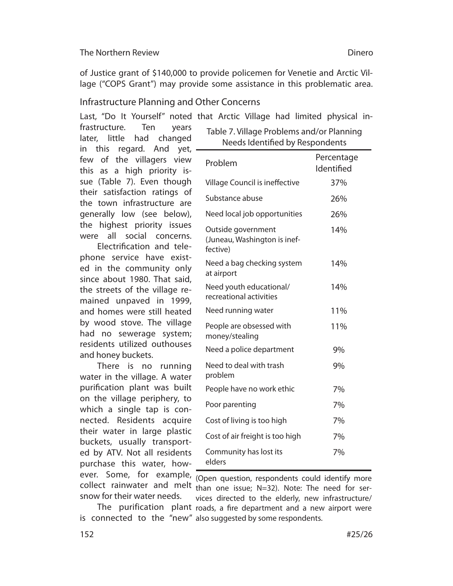of Justice grant of \$140,000 to provide policemen for Venetie and Arctic Village ("COPS Grant") may provide some assistance in this problematic area.

# Infrastructure Planning and Other Concerns

Last, "Do It Yourself" noted that Arctic Village had limited physical in-

frastructure. Ten years later, little had changed in this regard. And yet, few of the villagers view this as a high priority issue (Table 7). Even though their satisfaction ratings of the town infrastructure are generally low (see below), the highest priority issues were all social concerns.

Electrification and telephone service have existed in the community only since about 1980. That said, the streets of the village remained unpaved in 1999, and homes were still heated by wood stove. The village had no sewerage system; residents utilized outhouses and honey buckets.

There is no running water in the village. A water purification plant was built on the village periphery, to which a single tap is connected. Residents acquire their water in large plastic buckets, usually transported by ATV. Not all residents purchase this water, howsnow for their water needs.

| Needs Identified by Respondents                                |                          |  |
|----------------------------------------------------------------|--------------------------|--|
| Problem                                                        | Percentage<br>Identified |  |
| Village Council is ineffective                                 | 37%                      |  |
| Substance abuse                                                | 26%                      |  |
| Need local job opportunities                                   | 26%                      |  |
| Outside government<br>(Juneau, Washington is inef-<br>fective) | 14%                      |  |
| Need a bag checking system<br>at airport                       | 14%                      |  |
| Need youth educational/<br>recreational activities             | 14%                      |  |
| Need running water                                             | 11%                      |  |
| People are obsessed with<br>money/stealing                     | 11%                      |  |
| Need a police department                                       | 9%                       |  |
| Need to deal with trash<br>problem                             | 9%                       |  |
| People have no work ethic                                      | 7%                       |  |
| Poor parenting                                                 | 7%                       |  |
| Cost of living is too high                                     | 7%                       |  |
| Cost of air freight is too high                                | 7%                       |  |
| Community has lost its<br>elders                               | 7%                       |  |

Table 7. Village Problems and/or Planning

ever. Some, for example, Open question, respondents could identify more collect rainwater and melt than one issue; N=32). Note: The need for ser-The purification plant roads, a fire department and a new airport were is connected to the "new" also suggested by some respondents. vices directed to the elderly, new infrastructure/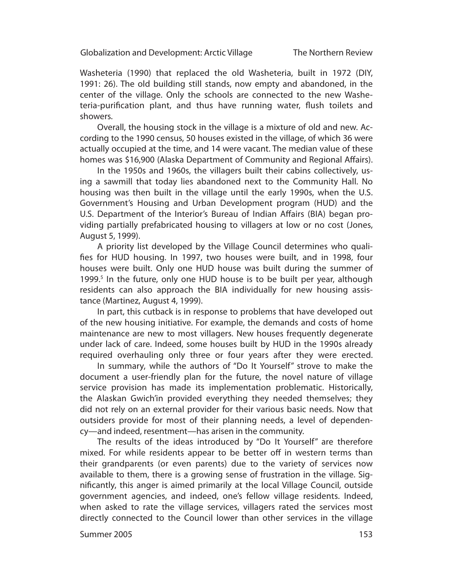The Northern Review

Washeteria (1990) that replaced the old Washeteria, built in 1972 (DIY, 1991: 26). The old building still stands, now empty and abandoned, in the center of the village. Only the schools are connected to the new Washeteria-purification plant, and thus have running water, flush toilets and showers.

Overall, the housing stock in the village is a mixture of old and new. According to the 1990 census, 50 houses existed in the village, of which 36 were actually occupied at the time, and 14 were vacant. The median value of these homes was \$16,900 (Alaska Department of Community and Regional Affairs).

In the 1950s and 1960s, the villagers built their cabins collectively, using a sawmill that today lies abandoned next to the Community Hall. No housing was then built in the village until the early 1990s, when the U.S. Government's Housing and Urban Development program (HUD) and the U.S. Department of the Interior's Bureau of Indian Affairs (BIA) began providing partially prefabricated housing to villagers at low or no cost (Jones, August 5, 1999).

A priority list developed by the Village Council determines who qualifies for HUD housing. In 1997, two houses were built, and in 1998, four houses were built. Only one HUD house was built during the summer of 1999.<sup>5</sup> In the future, only one HUD house is to be built per year, although residents can also approach the BIA individually for new housing assistance (Martinez, August 4, 1999).

In part, this cutback is in response to problems that have developed out of the new housing initiative. For example, the demands and costs of home maintenance are new to most villagers. New houses frequently degenerate under lack of care. Indeed, some houses built by HUD in the 1990s already required overhauling only three or four years after they were erected.

In summary, while the authors of "Do It Yourself" strove to make the document a user-friendly plan for the future, the novel nature of village service provision has made its implementation problematic. Historically, the Alaskan Gwich'in provided everything they needed themselves; they did not rely on an external provider for their various basic needs. Now that outsiders provide for most of their planning needs, a level of dependency—and indeed, resentment—has arisen in the community.

The results of the ideas introduced by "Do It Yourself" are therefore mixed. For while residents appear to be better off in western terms than their grandparents (or even parents) due to the variety of services now available to them, there is a growing sense of frustration in the village. Significantly, this anger is aimed primarily at the local Village Council, outside government agencies, and indeed, one's fellow village residents. Indeed, when asked to rate the village services, villagers rated the services most directly connected to the Council lower than other services in the village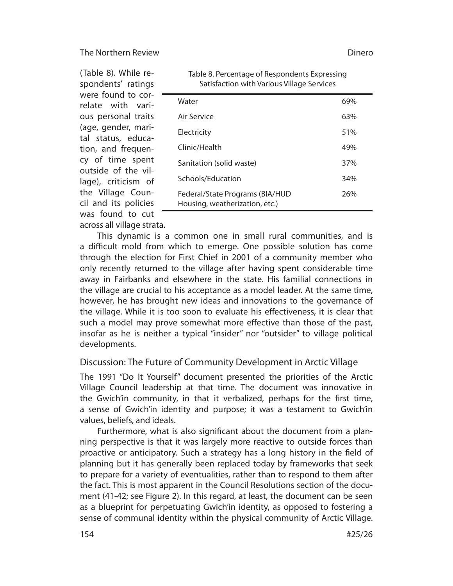(Table 8). While respondents' ratings were found to cor- $$ relate with various personal traits (age, gender, marital status, education, and frequency of time spent outside of the village), criticism of the Village Council and its policies was found to cut

| Satisfaction with Various Village Services                        |     |
|-------------------------------------------------------------------|-----|
| Water                                                             | 69% |
| Air Service                                                       | 63% |
| Electricity                                                       | 51% |
| Clinic/Health                                                     | 49% |
| Sanitation (solid waste)                                          | 37% |
| Schools/Education                                                 | 34% |
| Federal/State Programs (BIA/HUD<br>Housing, weatherization, etc.) | 26% |
|                                                                   |     |

Table 8. Percentage of Respondents Expressing

across all village strata. This dynamic is a common one in small rural communities, and is a difficult mold from which to emerge. One possible solution has come through the election for First Chief in 2001 of a community member who only recently returned to the village after having spent considerable time away in Fairbanks and elsewhere in the state. His familial connections in the village are crucial to his acceptance as a model leader. At the same time, however, he has brought new ideas and innovations to the governance of the village. While it is too soon to evaluate his effectiveness, it is clear that such a model may prove somewhat more effective than those of the past, insofar as he is neither a typical "insider" nor "outsider" to village political developments.

# Discussion: The Future of Community Development in Arctic Village

The 1991 "Do It Yourself" document presented the priorities of the Arctic Village Council leadership at that time. The document was innovative in the Gwich'in community, in that it verbalized, perhaps for the first time, a sense of Gwich'in identity and purpose; it was a testament to Gwich'in values, beliefs, and ideals.

Furthermore, what is also significant about the document from a planning perspective is that it was largely more reactive to outside forces than proactive or anticipatory. Such a strategy has a long history in the field of planning but it has generally been replaced today by frameworks that seek to prepare for a variety of eventualities, rather than to respond to them after the fact. This is most apparent in the Council Resolutions section of the document (41-42; see Figure 2). In this regard, at least, the document can be seen as a blueprint for perpetuating Gwich'in identity, as opposed to fostering a sense of communal identity within the physical community of Arctic Village.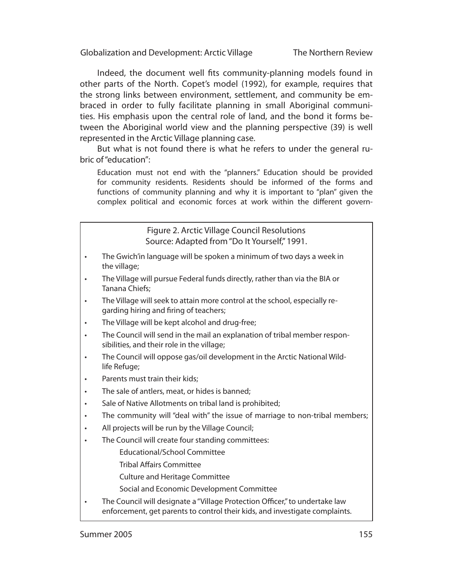The Northern Review

Indeed, the document well fits community-planning models found in other parts of the North. Copet's model (1992), for example, requires that the strong links between environment, settlement, and community be embraced in order to fully facilitate planning in small Aboriginal communities. His emphasis upon the central role of land, and the bond it forms between the Aboriginal world view and the planning perspective (39) is well represented in the Arctic Village planning case.

But what is not found there is what he refers to under the general rubric of "education":

Education must not end with the "planners." Education should be provided for community residents. Residents should be informed of the forms and functions of community planning and why it is important to "plan" given the complex political and economic forces at work within the different govern-

### Figure 2. Arctic Village Council Resolutions Source: Adapted from "Do It Yourself," 1991.

- The Gwich'in language will be spoken a minimum of two days a week in the village;
- The Village will pursue Federal funds directly, rather than via the BIA or Tanana Chiefs;
- The Village will seek to attain more control at the school, especially regarding hiring and firing of teachers;
- The Village will be kept alcohol and drug-free;
- The Council will send in the mail an explanation of tribal member responsibilities, and their role in the village;
- The Council will oppose gas/oil development in the Arctic National Wildlife Refuge;
- Parents must train their kids;
- The sale of antlers, meat, or hides is banned;
- Sale of Native Allotments on tribal land is prohibited;
- The community will "deal with" the issue of marriage to non-tribal members;
- All projects will be run by the Village Council;
- The Council will create four standing committees:
	- Educational/School Committee
	- **Tribal Affairs Committee**
	- Culture and Heritage Committee
	- Social and Economic Development Committee
- The Council will designate a "Village Protection Officer," to undertake law enforcement, get parents to control their kids, and investigate complaints.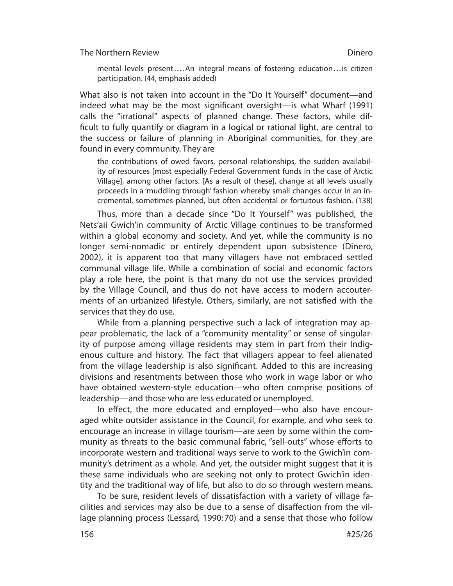mental levels present....An integral means of fostering education...is citizen participation. (44, emphasis added)

What also is not taken into account in the "Do It Yourself" document—and indeed what may be the most significant oversight—is what Wharf (1991) calls the "irrational" aspects of planned change. These factors, while difficult to fully quantify or diagram in a logical or rational light, are central to the success or failure of planning in Aboriginal communities, for they are found in every community. They are

the contributions of owed favors, personal relationships, the sudden availability of resources [most especially Federal Government funds in the case of Arctic Village], among other factors. [As a result of these], change at all levels usually proceeds in a 'muddling through' fashion whereby small changes occur in an incremental, sometimes planned, but often accidental or fortuitous fashion. (138)

Thus, more than a decade since "Do It Yourself" was published, the Nets'aii Gwich'in community of Arctic Village continues to be transformed within a global economy and society. And yet, while the community is no longer semi-nomadic or entirely dependent upon subsistence (Dinero, 2002), it is apparent too that many villagers have not embraced settled communal village life. While a combination of social and economic factors play a role here, the point is that many do not use the services provided by the Village Council, and thus do not have access to modern accouterments of an urbanized lifestyle. Others, similarly, are not satisfied with the services that they do use.

While from a planning perspective such a lack of integration may appear problematic, the lack of a "community mentality" or sense of singularity of purpose among village residents may stem in part from their Indigenous culture and history. The fact that villagers appear to feel alienated from the village leadership is also significant. Added to this are increasing divisions and resentments between those who work in wage labor or who have obtained western-style education—who often comprise positions of leadership—and those who are less educated or unemployed.

In effect, the more educated and employed—who also have encouraged white outsider assistance in the Council, for example, and who seek to encourage an increase in village tourism—are seen by some within the community as threats to the basic communal fabric, "sell-outs" whose efforts to incorporate western and traditional ways serve to work to the Gwich'in community's detriment as a whole. And yet, the outsider might suggest that it is these same individuals who are seeking not only to protect Gwich'in identity and the traditional way of life, but also to do so through western means.

To be sure, resident levels of dissatisfaction with a variety of village facilities and services may also be due to a sense of disaffection from the village planning process (Lessard, 1990: 70) and a sense that those who follow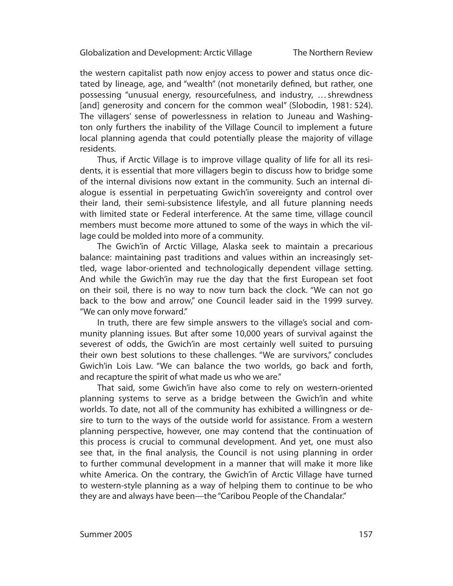The Northern Review

the western capitalist path now enjoy access to power and status once dictated by lineage, age, and "wealth" (not monetarily defined, but rather, one possessing "unusual energy, resourcefulness, and industry, ... shrewdness [and] generosity and concern for the common weal" (Slobodin, 1981: 524). The villagers' sense of powerlessness in relation to Juneau and Washington only furthers the inability of the Village Council to implement a future local planning agenda that could potentially please the majority of village residents.

Thus, if Arctic Village is to improve village quality of life for all its residents, it is essential that more villagers begin to discuss how to bridge some of the internal divisions now extant in the community. Such an internal dialoque is essential in perpetuating Gwich'in sovereignty and control over their land, their semi-subsistence lifestyle, and all future planning needs with limited state or Federal interference. At the same time, village council members must become more attuned to some of the ways in which the village could be molded into more of a community.

The Gwich'in of Arctic Village, Alaska seek to maintain a precarious balance: maintaining past traditions and values within an increasingly settled, wage labor-oriented and technologically dependent village setting. And while the Gwich'in may rue the day that the first European set foot on their soil, there is no way to now turn back the clock. "We can not go back to the bow and arrow," one Council leader said in the 1999 survey. "We can only move forward."

In truth, there are few simple answers to the village's social and community planning issues. But after some 10,000 years of survival against the severest of odds, the Gwich'in are most certainly well suited to pursuing their own best solutions to these challenges. "We are survivors," concludes Gwich'in Lois Law. "We can balance the two worlds, go back and forth, and recapture the spirit of what made us who we are."

That said, some Gwich'in have also come to rely on western-oriented planning systems to serve as a bridge between the Gwich'in and white worlds. To date, not all of the community has exhibited a willingness or desire to turn to the ways of the outside world for assistance. From a western planning perspective, however, one may contend that the continuation of this process is crucial to communal development. And yet, one must also see that, in the final analysis, the Council is not using planning in order to further communal development in a manner that will make it more like white America. On the contrary, the Gwich'in of Arctic Village have turned to western-style planning as a way of helping them to continue to be who they are and always have been—the "Caribou People of the Chandalar."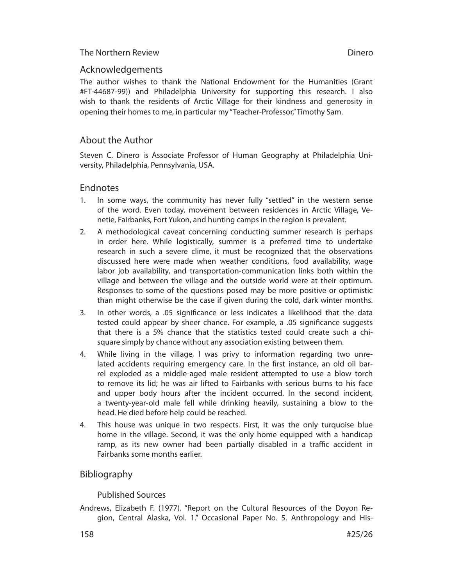# Acknowledgements

The author wishes to thank the National Endowment for the Humanities (Grant #FT-44687-99)) and Philadelphia University for supporting this research. I also wish to thank the residents of Arctic Village for their kindness and generosity in opening their homes to me, in particular my "Teacher-Professor," Timothy Sam.

# About the Author

Steven C. Dinero is Associate Professor of Human Geography at Philadelphia University, Philadelphia, Pennsylvania, USA.

# **Endnotes**

- 1. In some ways, the community has never fully "settled" in the western sense of the word. Even today, movement between residences in Arctic Village, Venetie, Fairbanks, Fort Yukon, and hunting camps in the region is prevalent.
- 2. A methodological caveat concerning conducting summer research is perhaps in order here. While logistically, summer is a preferred time to undertake research in such a severe clime, it must be recognized that the observations discussed here were made when weather conditions, food availability, wage labor job availability, and transportation-communication links both within the village and between the village and the outside world were at their optimum. Responses to some of the questions posed may be more positive or optimistic than might otherwise be the case if given during the cold, dark winter months.
- 3. In other words, a .05 significance or less indicates a likelihood that the data tested could appear by sheer chance. For example, a .05 significance suggests that there is a 5% chance that the statistics tested could create such a chisquare simply by chance without any association existing between them.
- 4. While living in the village, I was privy to information regarding two unrelated accidents requiring emergency care. In the first instance, an old oil barrel exploded as a middle-aged male resident attempted to use a blow torch to remove its lid; he was air lifted to Fairbanks with serious burns to his face and upper body hours after the incident occurred. In the second incident, a twenty-year-old male fell while drinking heavily, sustaining a blow to the head. He died before help could be reached.
- 4. This house was unique in two respects. First, it was the only turquoise blue home in the village. Second, it was the only home equipped with a handicap ramp, as its new owner had been partially disabled in a traffic accident in Fairbanks some months earlier.

# Bibliography

Published Sources

Andrews, Elizabeth F. (1977). "Report on the Cultural Resources of the Doyon Region, Central Alaska, Vol. 1." Occasional Paper No. 5. Anthropology and His-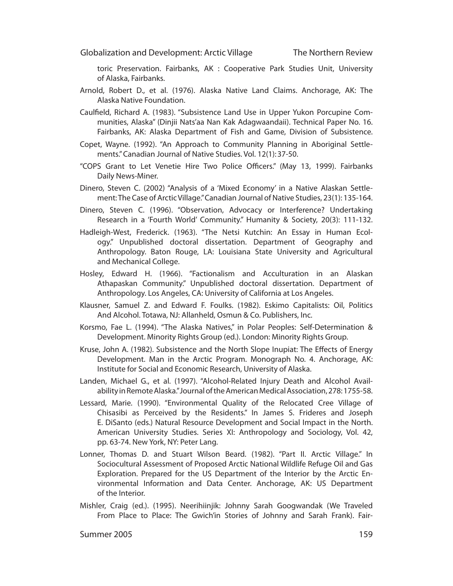toric Preservation. Fairbanks, AK : Cooperative Park Studies Unit, University of Alaska, Fairbanks.

- Arnold, Robert D., et al. (1976). Alaska Native Land Claims. Anchorage, AK: The Alaska Native Foundation.
- Caulfield, Richard A. (1983). "Subsistence Land Use in Upper Yukon Porcupine Communities, Alaska" (Dinjii Nats'aa Nan Kak Adagwaandaii). Technical Paper No. 16. Fairbanks, AK: Alaska Department of Fish and Game, Division of Subsistence.
- Copet, Wayne. (1992). "An Approach to Community Planning in Aboriginal Settlements." Canadian Journal of Native Studies. Vol. 12(1): 37-50.
- "COPS Grant to Let Venetie Hire Two Police Officers." (May 13, 1999). Fairbanks Daily News-Miner.
- Dinero, Steven C. (2002) "Analysis of a 'Mixed Economy' in a Native Alaskan Settlement: The Case of Arctic Village." Canadian Journal of Native Studies, 23(1): 135-164.
- Dinero, Steven C. (1996). "Observation, Advocacy or Interference? Undertaking Research in a 'Fourth World' Community." Humanity & Society, 20(3): 111-132.
- Hadleigh-West, Frederick. (1963). "The Netsi Kutchin: An Essay in Human Ecology." Unpublished doctoral dissertation. Department of Geography and Anthropology. Baton Rouge, LA: Louisiana State University and Agricultural and Mechanical College.
- Hosley, Edward H. (1966). "Factionalism and Acculturation in an Alaskan Athapaskan Community." Unpublished doctoral dissertation. Department of Anthropology. Los Angeles, CA: University of California at Los Angeles.
- Klausner, Samuel Z. and Edward F. Foulks. (1982). Eskimo Capitalists: Oil, Politics And Alcohol. Totawa, NJ: Allanheld, Osmun & Co. Publishers, Inc.
- Korsmo, Fae L. (1994). "The Alaska Natives," in Polar Peoples: Self-Determination & Development. Minority Rights Group (ed.). London: Minority Rights Group.
- Kruse, John A. (1982). Subsistence and the North Slope Inupiat: The Effects of Energy Development. Man in the Arctic Program. Monograph No. 4. Anchorage, AK: Institute for Social and Economic Research, University of Alaska.
- Landen, Michael G., et al. (1997). "Alcohol-Related Injury Death and Alcohol Availability in Remote Alaska." Journal of the American Medical Association, 278: 1755-58.
- Lessard, Marie. (1990). "Environmental Quality of the Relocated Cree Village of Chisasibi as Perceived by the Residents." In James S. Frideres and Joseph E. DiSanto (eds.) Natural Resource Development and Social Impact in the North. American University Studies. Series XI: Anthropology and Sociology, Vol. 42, pp. 63-74. New York, NY: Peter Lang.
- Lonner, Thomas D. and Stuart Wilson Beard. (1982). "Part II. Arctic Village." In Sociocultural Assessment of Proposed Arctic National Wildlife Refuge Oil and Gas Exploration. Prepared for the US Department of the Interior by the Arctic Environmental Information and Data Center. Anchorage, AK: US Department of the Interior.
- Mishler, Craig (ed.). (1995). Neerihiinjik: Johnny Sarah Googwandak (We Traveled From Place to Place: The Gwich'in Stories of Johnny and Sarah Frank). Fair-